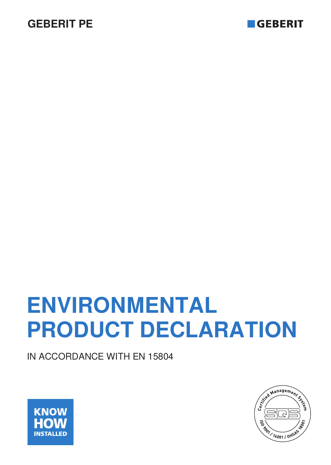### **GEBERIT PE**



# **ENVIRONMENTAL PRODUCT DECLARATION**

IN ACCORDANCE WITH EN 15804



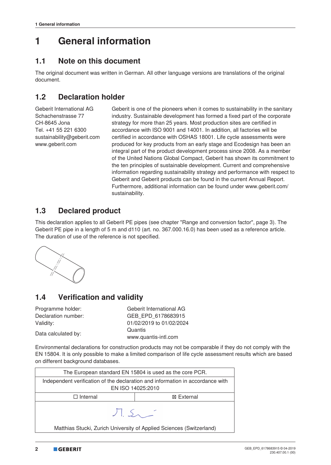### **1 General information**

### **1.1 Note on this document**

The original document was written in German. All other language versions are translations of the original document.

### **1.2 Declaration holder**

Geberit International AG Schachenstrasse 77 CH-8645 Jona Tel. +41 55 221 6300 sustainability@geberit.com www.geberit.com

Geberit is one of the pioneers when it comes to sustainability in the sanitary industry. Sustainable development has formed a fixed part of the corporate strategy for more than 25 years. Most production sites are certified in accordance with ISO 9001 and 14001. In addition, all factories will be certified in accordance with OSHAS 18001. Life cycle assessments were produced for key products from an early stage and Ecodesign has been an integral part of the product development process since 2008. As a member of the United Nations Global Compact, Geberit has shown its commitment to the ten principles of sustainable development. Current and comprehensive information regarding sustainability strategy and performance with respect to Geberit and Geberit products can be found in the current Annual Report. Furthermore, additional information can be found under www.geberit.com/ sustainability.

### **1.3 Declared product**

This declaration applies to all Geberit PE pipes (see chapter "Range and conversion factor", page 3). The Geberit PE pipe in a length of 5 m and d110 (art. no. 367.000.16.0) has been used as a reference article. The duration of use of the reference is not specified.



### **1.4 Verification and validity**

| Programme holder:   | Geberit International AG |
|---------------------|--------------------------|
| Declaration number: | GEB EPD 6178683915       |
| Validity:           | 01/02/2019 to 01/02/2024 |
|                     | Quantis                  |
| Data calculated by: | www.quantis-intl.com     |

Environmental declarations for construction products may not be comparable if they do not comply with the EN 15804. It is only possible to make a limited comparison of life cycle assessment results which are based on different background databases.

| The European standard EN 15804 is used as the core PCR.                                             |                                                                      |  |  |  |  |  |  |
|-----------------------------------------------------------------------------------------------------|----------------------------------------------------------------------|--|--|--|--|--|--|
| Independent verification of the declaration and information in accordance with<br>EN ISO 14025:2010 |                                                                      |  |  |  |  |  |  |
| ⊠ External<br>$\Box$ Internal                                                                       |                                                                      |  |  |  |  |  |  |
| J.S.                                                                                                |                                                                      |  |  |  |  |  |  |
|                                                                                                     | Matthias Stucki, Zurich University of Applied Sciences (Switzerland) |  |  |  |  |  |  |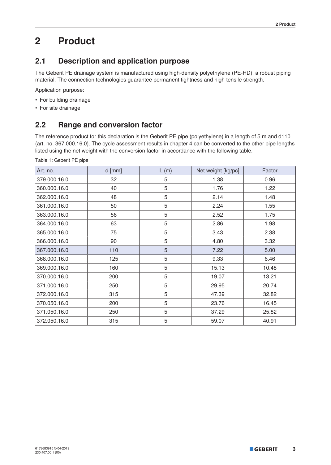# **2 Product**

### **2.1 Description and application purpose**

The Geberit PE drainage system is manufactured using high-density polyethylene (PE-HD), a robust piping material. The connection technologies guarantee permanent tightness and high tensile strength.

Application purpose:

- For building drainage
- For site drainage

### **2.2 Range and conversion factor**

The reference product for this declaration is the Geberit PE pipe (polyethylene) in a length of 5 m and d110 (art. no. 367.000.16.0). The cycle assessment results in chapter 4 can be converted to the other pipe lengths listed using the net weight with the conversion factor in accordance with the following table.

| Art. no.     | $d$ [mm] | L(m) | Net weight [kg/pc] | Factor |
|--------------|----------|------|--------------------|--------|
| 379.000.16.0 | 32       | 5    | 1.38               | 0.96   |
| 360.000.16.0 | 40       | 5    | 1.76               | 1.22   |
| 362.000.16.0 | 48       | 5    | 2.14               | 1.48   |
| 361.000.16.0 | 50       | 5    | 2.24               | 1.55   |
| 363.000.16.0 | 56       | 5    | 2.52               | 1.75   |
| 364.000.16.0 | 63       | 5    | 2.86               | 1.98   |
| 365.000.16.0 | 75       | 5    | 3.43               | 2.38   |
| 366.000.16.0 | 90       | 5    | 4.80               | 3.32   |
| 367.000.16.0 | 110      | 5    | 7.22               | 5.00   |
| 368.000.16.0 | 125      | 5    | 9.33               | 6.46   |
| 369.000.16.0 | 160      | 5    | 15.13              | 10.48  |
| 370.000.16.0 | 200      | 5    | 19.07              | 13.21  |
| 371.000.16.0 | 250      | 5    | 29.95              | 20.74  |
| 372.000.16.0 | 315      | 5    | 47.39              | 32.82  |
| 370.050.16.0 | 200      | 5    | 23.76              | 16.45  |
| 371.050.16.0 | 250      | 5    | 37.29              | 25.82  |
| 372.050.16.0 | 315      | 5    | 59.07              | 40.91  |

Table 1: Geberit PE pipe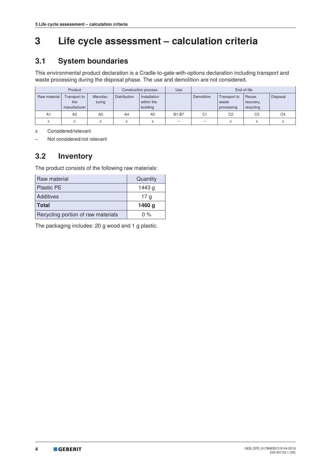# **3 Life cycle assessment – calculation criteria**

### **3.1 System boundaries**

This environmental product declaration is a Cradle-to-gate-with-options declaration including transport and waste processing during the disposal phase. The use and demolition are not considered.

| Product           |                                     |                    | Construction process | <b>Use</b>                             |              |                | End-of-life                         |                                  |                 |
|-------------------|-------------------------------------|--------------------|----------------------|----------------------------------------|--------------|----------------|-------------------------------------|----------------------------------|-----------------|
| Raw material      | Transport to<br>the<br>manufacturer | Manufac-<br>turing | <b>Distribution</b>  | Installation<br>within the<br>building |              | Demolition     | Transport to<br>waste<br>processing | Reuse,<br>recovery,<br>recycling | <b>Disposal</b> |
| A1                | A2                                  | A3                 | A4                   | A <sub>5</sub>                         | <b>B1-B7</b> | C <sub>1</sub> | C <sub>2</sub>                      | C <sub>3</sub>                   | C <sub>4</sub>  |
| $\checkmark$<br>⋏ | $\checkmark$<br>^                   | $\lambda$          | X                    |                                        | -            |                | X                                   |                                  |                 |

x Considered/relevant

– Not considered/not relevant

### **3.2 Inventory**

The product consists of the following raw materials:

| I Raw material                     | Quantity |
|------------------------------------|----------|
| <b>Plastic PE</b>                  | 1443 g   |
| Additives                          | 17 g     |
| Total                              | 1460 g   |
| Recycling portion of raw materials | $0\%$    |

The packaging includes: 20 g wood and 1 g plastic.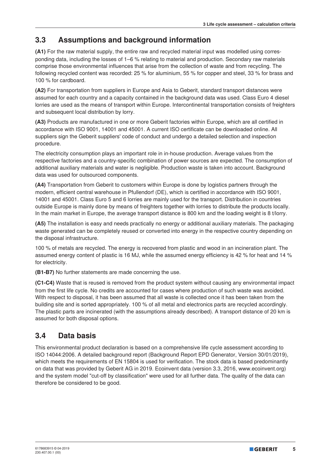### **3.3 Assumptions and background information**

**(A1)** For the raw material supply, the entire raw and recycled material input was modelled using corresponding data, including the losses of 1–6 % relating to material and production. Secondary raw materials comprise those environmental influences that arise from the collection of waste and from recycling. The following recycled content was recorded: 25 % for aluminium, 55 % for copper and steel, 33 % for brass and 100 % for cardboard.

**(A2)** For transportation from suppliers in Europe and Asia to Geberit, standard transport distances were assumed for each country and a capacity contained in the background data was used. Class Euro 4 diesel lorries are used as the means of transport within Europe. Intercontinental transportation consists of freighters and subsequent local distribution by lorry.

**(A3)** Products are manufactured in one or more Geberit factories within Europe, which are all certified in accordance with ISO 9001, 14001 and 45001. A current ISO certificate can be downloaded online. All suppliers sign the Geberit suppliers' code of conduct and undergo a detailed selection and inspection procedure.

The electricity consumption plays an important role in in-house production. Average values from the respective factories and a country-specific combination of power sources are expected. The consumption of additional auxiliary materials and water is negligible. Production waste is taken into account. Background data was used for outsourced components.

**(A4)** Transportation from Geberit to customers within Europe is done by logistics partners through the modern, efficient central warehouse in Pfullendorf (DE), which is certified in accordance with ISO 9001, 14001 and 45001. Class Euro 5 and 6 lorries are mainly used for the transport. Distribution in countries outside Europe is mainly done by means of freighters together with lorries to distribute the products locally. In the main market in Europe, the average transport distance is 800 km and the loading weight is 8 t/lorry.

**(A5)** The installation is easy and needs practically no energy or additional auxiliary materials. The packaging waste generated can be completely reused or converted into energy in the respective country depending on the disposal infrastructure.

100 % of metals are recycled. The energy is recovered from plastic and wood in an incineration plant. The assumed energy content of plastic is 16 MJ, while the assumed energy efficiency is 42 % for heat and 14 % for electricity.

**(B1-B7)** No further statements are made concerning the use.

**(C1-C4)** Waste that is reused is removed from the product system without causing any environmental impact from the first life cycle. No credits are accounted for cases where production of such waste was avoided. With respect to disposal, it has been assumed that all waste is collected once it has been taken from the building site and is sorted appropriately. 100 % of all metal and electronics parts are recycled accordingly. The plastic parts are incinerated (with the assumptions already described). A transport distance of 20 km is assumed for both disposal options.

### **3.4 Data basis**

This environmental product declaration is based on a comprehensive life cycle assessment according to ISO 14044:2006. A detailed background report (Background Report EPD Generator, Version 30/01/2019), which meets the requirements of EN 15804 is used for verification. The stock data is based predominantly on data that was provided by Geberit AG in 2019. Ecoinvent data (version 3.3, 2016, www.ecoinvent.org) and the system model "cut-off by classification" were used for all further data. The quality of the data can therefore be considered to be good.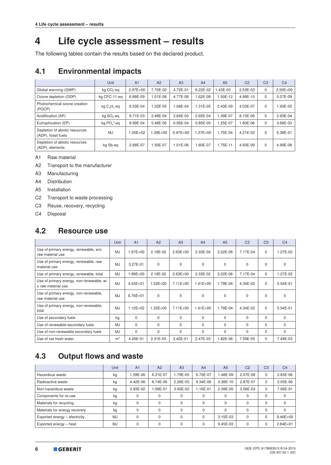### **4 Life cycle assessment – results**

The following tables contain the results based on the declared product.

### **4.1 Environmental impacts**

|                                                       | Unit                   | A <sub>1</sub> | A2          | A3           | A <sub>4</sub> | A <sub>5</sub> | C <sub>2</sub> | C <sub>3</sub> | C <sub>4</sub> |
|-------------------------------------------------------|------------------------|----------------|-------------|--------------|----------------|----------------|----------------|----------------|----------------|
| Global warming (GWP)                                  | kg CO <sub>2</sub> -eq | $2.97E + 00$   | 7.70E-02    | 4.72E-01     | 8.22E-02       | .43E-03        | 2.53E-03       | 0              | $2.50E + 00$   |
| Ozone depletion (ODP)                                 | kg CFC-11-eq           | 8.88E-09       | .51E-08     | 4.77E-08     | $.62E-08$      | 1.50E-12       | 4.98E-10       | $\Omega$       | 5.07E-09       |
| Photochemical ozone creation<br>(POCP)                | kg $C_2H_4$ -eq        | 9.33E-04       | 1.22E-05    | 1.08E-04     | 1.31E-05       | 2.43E-09       | 4.03E-07       | $\Omega$       | 1.93E-05       |
| Acidification (AP)                                    | kg SO <sub>2</sub> -eq | 9.71E-03       | 2.48E-04    | 2.84E-03     | 2.65E-04       | 1.39E-07       | 8.15E-06       | $\Omega$       | 2.93E-04       |
| Eutrophication (EP)                                   | kg $PO43$ -eq          | 8.99E-04       | 5.48E-05    | 6.56E-04     | 5.85E-05       | 1.25E-07       | 1.80E-06       | $\mathbf 0$    | 3.66E-03       |
| Depletion of abiotic resources<br>(ADP), fossil fuels | MJ                     | $1.05E + 02$   | $.28E + 00$ | $5.97E + 00$ | $.37E + 00$    | 1.75E-04       | 4.21E-02       | $\Omega$       | 5.38E-01       |
| Depletion of abiotic resources<br>(ADP), elements     | kg Sb-eg               | 2.68E-07       | 1.50E-07    | $1.01E-06$   | $.60E - 07$    | 1.75E-11       | 4.93E-09       | $\Omega$       | 4.99E-08       |

A1 Raw material

A2 Transport to the manufacturer

A3 Manufacturing

A4 Distribution

A5 Installation

C2 Transport to waste processing

C3 Reuse, recovery, recycling

C4 Disposal

#### **4.2 Resource use**

|                                                                | Unit           | A <sub>1</sub> | A2           | A <sub>3</sub> | A <sub>4</sub> | A <sub>5</sub> | C <sub>2</sub> | C <sub>3</sub> | C <sub>4</sub> |
|----------------------------------------------------------------|----------------|----------------|--------------|----------------|----------------|----------------|----------------|----------------|----------------|
| Use of primary energy, renewable, w/o<br>raw material use      | <b>MJ</b>      | $1.67E + 00$   | 2.18E-02     | $2.63E + 00$   | 2.33E-02       | $3.22E-06$     | 7.17E-04       | $\Omega$       | 1.27E-02       |
| Use of primary energy, renewable, raw<br>material use          | <b>MJ</b>      | 3.27E-01       | $\Omega$     | $\Omega$       | $\Omega$       | $\Omega$       | $\Omega$       | $\Omega$       | $\Omega$       |
| Use of primary energy, renewable, total                        | MJ             | 1.99E+00       | 2.18E-02     | $2.63E + 00$   | 2.33E-02       | 3.22E-06       | 7.17E-04       | 0              | 1.27E-02       |
| Use of primary energy, non-renewable, w/<br>o raw material use | <b>MJ</b>      | $4.43E + 01$   | $1.32E + 00$ | $7.11E+00$     | $1.41E + 00$   | 1.79E-04       | 4.34E-02       | $\Omega$       | 5.54E-01       |
| Use of primary energy, non-renewable,<br>raw material use      | MJ             | $6.76E + 01$   | $\Omega$     | $\Omega$       | 0              | $\mathbf 0$    | $\Omega$       | $\mathbf 0$    | $\mathbf 0$    |
| Use of primary energy, non-renewable,<br>total                 | <b>MJ</b>      | $1.12E + 02$   | $1.32E + 00$ | $7.11E + 00$   | $1.41E + 00$   | 1.79E-04       | 4.34E-02       | 0              | 5.54E-01       |
| Use of secondary fuels                                         | kg             | $\Omega$       | $\Omega$     | $\Omega$       | $\Omega$       | $\Omega$       | $\Omega$       | $\Omega$       | $\Omega$       |
| Use of renewable secondary fuels                               | <b>MJ</b>      | $\Omega$       | $\Omega$     | $\Omega$       | 0              | $\Omega$       | $\Omega$       | $\Omega$       | 0              |
| Use of non-renewable secondary fuels                           | <b>MJ</b>      | $\Omega$       | $\Omega$     | $\Omega$       | $\Omega$       | $\Omega$       | $\Omega$       | $\Omega$       | $\Omega$       |
| Use of net fresh water                                         | m <sup>3</sup> | 4.26E-01       | 2.31E-03     | 3.42E-01       | 2.47E-03       | 1.82E-06       | 7.59E-05       | $\mathbf 0$    | 7.49E-03       |

### **4.3 Output flows and waste**

|                               | Unit      | A <sub>1</sub> | A2       | A <sub>3</sub> | A <sub>4</sub> | A <sub>5</sub> | C <sub>2</sub> | C <sub>3</sub> | C <sub>4</sub> |
|-------------------------------|-----------|----------------|----------|----------------|----------------|----------------|----------------|----------------|----------------|
| Hazardous waste               | kg        | .59E-06        | 6.31E-07 | .79E-05        | 6.75E-07       | .48E-09        | 2.07E-08       | $\Omega$       | 2.65E-06       |
| Radioactive waste             | kg        | 4.42E-06       | 8.74E-06 | 2.26E-05       | 9.34E-06       | 3.38E-10       | 2.87E-07       | $\Omega$       | 2.05E-06       |
| Non-hazardous waste           | kg        | 3.93E-02       | 1.08E-01 | 3.93E-02       | 1.16E-01       | 2.39E-05       | 3.56E-03       | $\mathbf 0$    | 7.06E-01       |
| Components for re-use         | kg        | 0              | $\Omega$ | $\mathbf{0}$   | $\Omega$       | $\Omega$       |                | $\mathbf 0$    | 0              |
| Materials for recycling       | kg        |                | $\Omega$ | $\mathbf{0}$   | $\Omega$       | 0              |                | $\Omega$       | 0              |
| Materials for energy recovery | kg        | 0              | $\Omega$ | $\mathbf{0}$   | $\Omega$       | $\Omega$       |                | $\Omega$       | $\Omega$       |
| Exported energy - electricity | <b>MJ</b> | 0              | $\Omega$ | $\Omega$       | $\Omega$       | 3.15E-03       |                | $\Omega$       | $9.46E + 00$   |
| Exported energy - heat        | <b>MJ</b> |                | $\Omega$ | $\Omega$       | $\Omega$       | 9.45E-03       |                | $\Omega$       | $2.84E + 01$   |